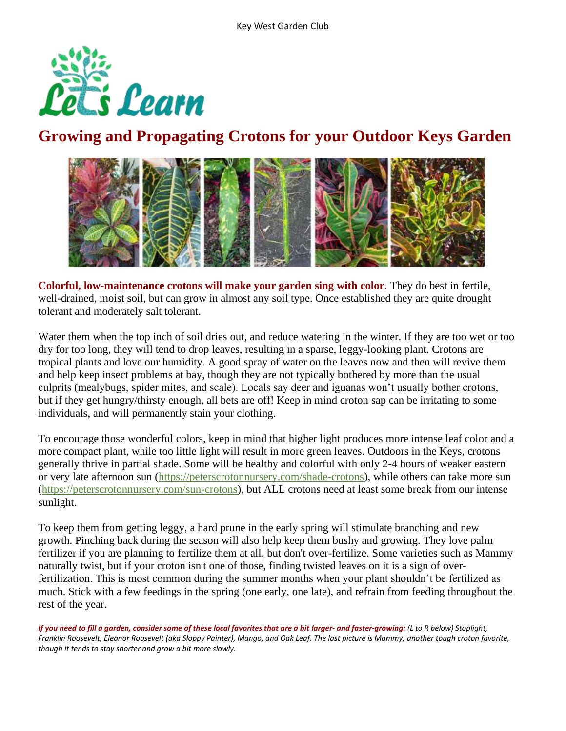

## **Growing and Propagating Crotons for your Outdoor Keys Garden**



**Colorful, low-maintenance crotons will make your garden sing with color**. They do best in fertile, well-drained, moist soil, but can grow in almost any soil type. Once established they are quite drought tolerant and moderately salt tolerant.

Water them when the top inch of soil dries out, and reduce watering in the winter. If they are too wet or too dry for too long, they will tend to drop leaves, resulting in a sparse, leggy-looking plant. Crotons are tropical plants and love our humidity. A good spray of water on the leaves now and then will revive them and help keep insect problems at bay, though they are not typically bothered by more than the usual culprits (mealybugs, spider mites, and scale). Locals say deer and iguanas won't usually bother crotons, but if they get hungry/thirsty enough, all bets are off! Keep in mind croton sap can be irritating to some individuals, and will permanently stain your clothing.

To encourage those wonderful colors, keep in mind that higher light produces more intense leaf color and a more compact plant, while too little light will result in more green leaves. Outdoors in the Keys, crotons generally thrive in partial shade. Some will be healthy and colorful with only 2-4 hours of weaker eastern or very late afternoon sun [\(https://peterscrotonnursery.com/shade-crotons\)](https://peterscrotonnursery.com/shade-crotons), while others can take more sun [\(https://peterscrotonnursery.com/sun-crotons\)](https://peterscrotonnursery.com/sun-crotons), but ALL crotons need at least some break from our intense sunlight.

To keep them from getting leggy, a hard prune in the early spring will stimulate branching and new growth. Pinching back during the season will also help keep them bushy and growing. They love palm fertilizer if you are planning to fertilize them at all, but don't over-fertilize. Some varieties such as Mammy naturally twist, but if your croton isn't one of those, finding twisted leaves on it is a sign of overfertilization. This is most common during the summer months when your plant shouldn't be fertilized as much. Stick with a few feedings in the spring (one early, one late), and refrain from feeding throughout the rest of the year.

*If you need to fill a garden, consider some of these local favorites that are a bit larger- and faster-growing: (L to R below) Stoplight, Franklin Roosevelt, Eleanor Roosevelt (aka Sloppy Painter), Mango, and Oak Leaf. The last picture is Mammy, another tough croton favorite, though it tends to stay shorter and grow a bit more slowly.*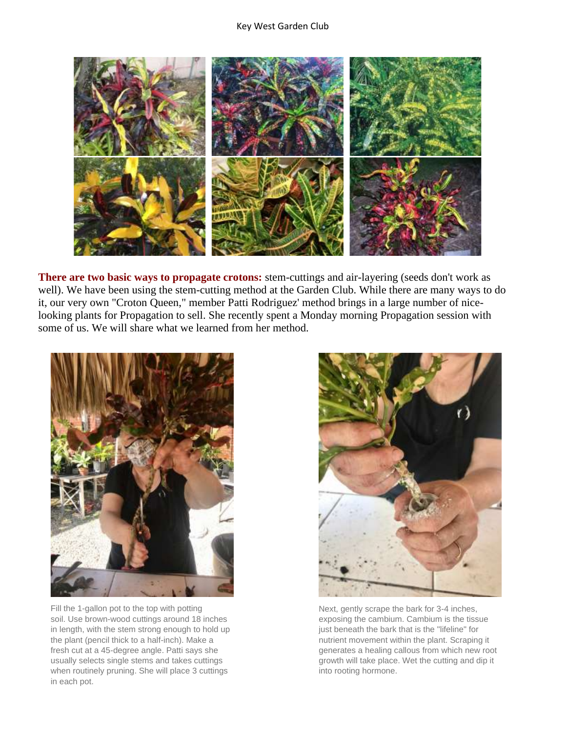

**There are two basic ways to propagate crotons:** stem-cuttings and air-layering (seeds don't work as well). We have been using the stem-cutting method at the Garden Club. While there are many ways to do it, our very own "Croton Queen," member Patti Rodriguez' method brings in a large number of nicelooking plants for Propagation to sell. She recently spent a Monday morning Propagation session with some of us. We will share what we learned from her method.



Fill the 1-gallon pot to the top with potting soil. Use brown-wood cuttings around 18 inches in length, with the stem strong enough to hold up the plant (pencil thick to a half-inch). Make a fresh cut at a 45-degree angle. Patti says she usually selects single stems and takes cuttings when routinely pruning. She will place 3 cuttings in each pot.



Next, gently scrape the bark for 3-4 inches, exposing the cambium. Cambium is the tissue just beneath the bark that is the "lifeline" for nutrient movement within the plant. Scraping it generates a healing callous from which new root growth will take place. Wet the cutting and dip it into rooting hormone.